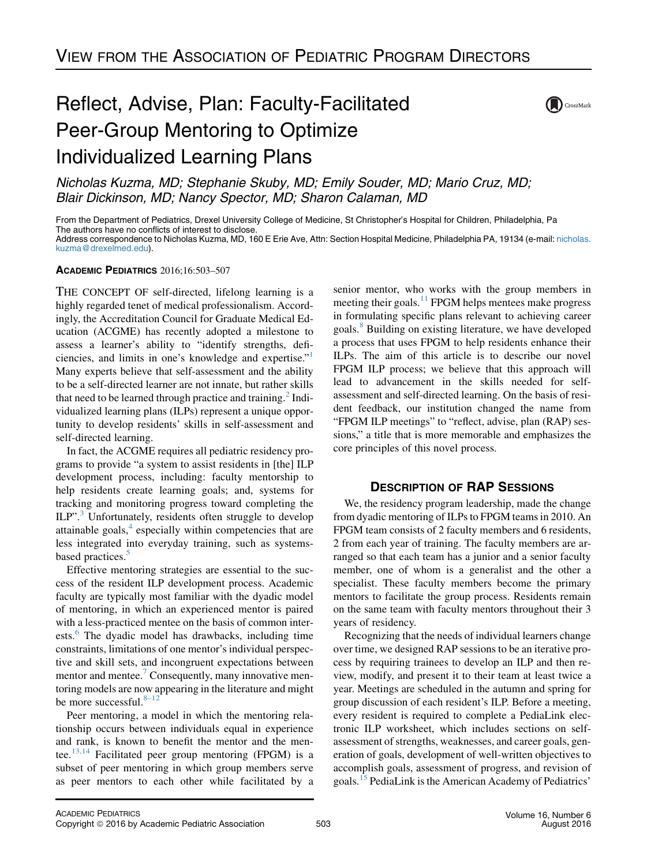## (DCrossMark

## Reflect, Advise, Plan: Faculty-Facilitated Peer-Group Mentoring to Optimize Individualized Learning Plans

Nicholas Kuzma, MD; Stephanie Skuby, MD; Emily Souder, MD; Mario Cruz, MD; Blair Dickinson, MD; Nancy Spector, MD; Sharon Calaman, MD

From the Department of Pediatrics, Drexel University College of Medicine, St Christopher's Hospital for Children, Philadelphia, Pa The authors have no conflicts of interest to disclose. Address correspondence to Nicholas Kuzma, MD, 160 E Erie Ave, Attn: Section Hospital Medicine, Philadelphia PA, 19134 (e-mail: [nicholas.](mailto:nicholas.kuzma@drexelmed.edu)

[kuzma@drexelmed.edu](mailto:nicholas.kuzma@drexelmed.edu)).

### ACADEMIC PEDIATRICS 2016;16:503–507

THE CONCEPT OF self-directed, lifelong learning is a highly regarded tenet of medical professionalism. Accordingly, the Accreditation Council for Graduate Medical Education (ACGME) has recently adopted a milestone to assess a learner's ability to "identify strengths, deficiencies, and limits in one's knowledge and expertise."[1](#page-4-0) Many experts believe that self-assessment and the ability to be a self-directed learner are not innate, but rather skills that need to be learned through practice and training.<sup>[2](#page-4-0)</sup> Individualized learning plans (ILPs) represent a unique opportunity to develop residents' skills in self-assessment and self-directed learning.

In fact, the ACGME requires all pediatric residency programs to provide "a system to assist residents in [the] ILP development process, including: faculty mentorship to help residents create learning goals; and, systems for tracking and monitoring progress toward completing the ILP".<sup>[3](#page-4-0)</sup> Unfortunately, residents often struggle to develop attainable goals, $4$  especially within competencies that are less integrated into everyday training, such as systems-based practices.<sup>[5](#page-4-0)</sup>

Effective mentoring strategies are essential to the success of the resident ILP development process. Academic faculty are typically most familiar with the dyadic model of mentoring, in which an experienced mentor is paired with a less-practiced mentee on the basis of common inter-ests.<sup>[6](#page-4-0)</sup> The dyadic model has drawbacks, including time constraints, limitations of one mentor's individual perspective and skill sets, and incongruent expectations between mentor and mentee.<sup>[7](#page-4-0)</sup> Consequently, many innovative mentoring models are now appearing in the literature and might be more successful. $8-12$ 

Peer mentoring, a model in which the mentoring relationship occurs between individuals equal in experience and rank, is known to benefit the mentor and the mentee. $^{13,14}$  $^{13,14}$  $^{13,14}$  Facilitated peer group mentoring (FPGM) is a subset of peer mentoring in which group members serve as peer mentors to each other while facilitated by a

senior mentor, who works with the group members in meeting their goals.<sup>[11](#page-4-0)</sup> FPGM helps mentees make progress in formulating specific plans relevant to achieving career goals.<sup>[8](#page-4-0)</sup> Building on existing literature, we have developed a process that uses FPGM to help residents enhance their ILPs. The aim of this article is to describe our novel FPGM ILP process; we believe that this approach will lead to advancement in the skills needed for selfassessment and self-directed learning. On the basis of resident feedback, our institution changed the name from "FPGM ILP meetings" to "reflect, advise, plan (RAP) sessions," a title that is more memorable and emphasizes the core principles of this novel process.

## **DESCRIPTION OF RAP SESSIONS**

We, the residency program leadership, made the change from dyadic mentoring of ILPs to FPGM teams in 2010. An FPGM team consists of 2 faculty members and 6 residents, 2 from each year of training. The faculty members are arranged so that each team has a junior and a senior faculty member, one of whom is a generalist and the other a specialist. These faculty members become the primary mentors to facilitate the group process. Residents remain on the same team with faculty mentors throughout their 3 years of residency.

Recognizing that the needs of individual learners change over time, we designed RAP sessions to be an iterative process by requiring trainees to develop an ILP and then review, modify, and present it to their team at least twice a year. Meetings are scheduled in the autumn and spring for group discussion of each resident's ILP. Before a meeting, every resident is required to complete a PediaLink electronic ILP worksheet, which includes sections on selfassessment of strengths, weaknesses, and career goals, generation of goals, development of well-written objectives to accomplish goals, assessment of progress, and revision of goals.<sup>[15](#page-4-0)</sup> PediaLink is the American Academy of Pediatrics'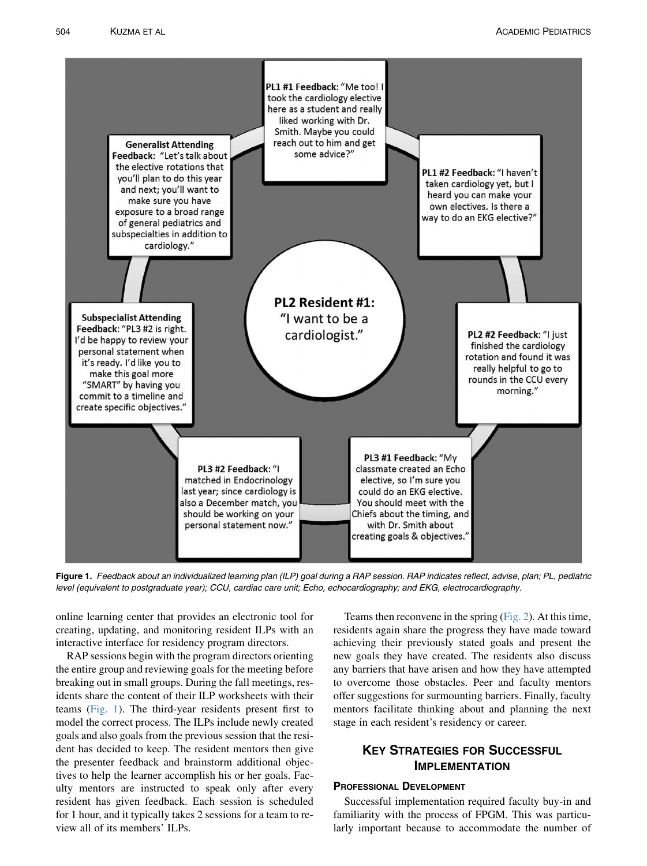

Figure 1. Feedback about an individualized learning plan (ILP) goal during a RAP session. RAP indicates reflect, advise, plan; PL, pediatric level (equivalent to postgraduate year); CCU, cardiac care unit; Echo, echocardiography; and EKG, electrocardiography.

online learning center that provides an electronic tool for creating, updating, and monitoring resident ILPs with an interactive interface for residency program directors.

RAP sessions begin with the program directors orienting the entire group and reviewing goals for the meeting before breaking out in small groups. During the fall meetings, residents share the content of their ILP worksheets with their teams (Fig. 1). The third-year residents present first to model the correct process. The ILPs include newly created goals and also goals from the previous session that the resident has decided to keep. The resident mentors then give the presenter feedback and brainstorm additional objectives to help the learner accomplish his or her goals. Faculty mentors are instructed to speak only after every resident has given feedback. Each session is scheduled for 1 hour, and it typically takes 2 sessions for a team to review all of its members' ILPs.

Teams then reconvene in the spring [\(Fig. 2](#page-2-0)). At this time, residents again share the progress they have made toward achieving their previously stated goals and present the new goals they have created. The residents also discuss any barriers that have arisen and how they have attempted to overcome those obstacles. Peer and faculty mentors offer suggestions for surmounting barriers. Finally, faculty mentors facilitate thinking about and planning the next stage in each resident's residency or career.

# **KEY STRATEGIES FOR SUCCESSFUL**<br>IMPLEMENTATION

### **PROFESSIONAL DEVELOPMENT**

Successful implementation required faculty buy-in and familiarity with the process of FPGM. This was particularly important because to accommodate the number of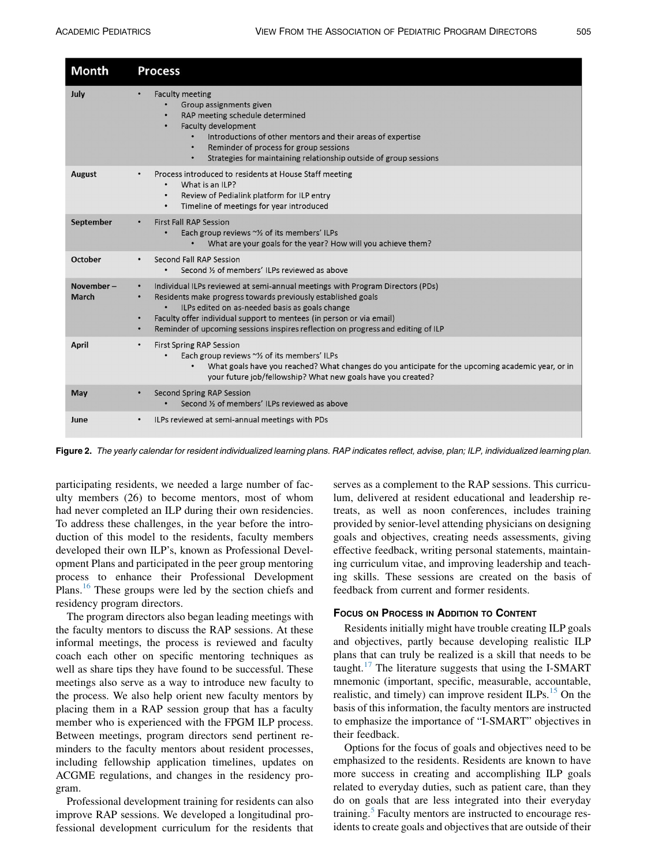<span id="page-2-0"></span>

| Month                     | <b>Process</b>                                                                                                                                                                                                                                                                                                                                                   |
|---------------------------|------------------------------------------------------------------------------------------------------------------------------------------------------------------------------------------------------------------------------------------------------------------------------------------------------------------------------------------------------------------|
| July                      | <b>Faculty meeting</b><br>٠<br>Group assignments given<br>RAP meeting schedule determined<br>Faculty development<br>Introductions of other mentors and their areas of expertise<br>Reminder of process for group sessions<br>$\bullet$<br>Strategies for maintaining relationship outside of group sessions<br>$\bullet$                                         |
| August                    | Process introduced to residents at House Staff meeting<br>What is an ILP?<br>$\bullet$<br>Review of Pedialink platform for ILP entry<br>$\bullet$<br>Timeline of meetings for year introduced<br>$\bullet$                                                                                                                                                       |
| September                 | <b>First Fall RAP Session</b><br>Each group reviews ~% of its members' ILPs<br>$\bullet$<br>What are your goals for the year? How will you achieve them?                                                                                                                                                                                                         |
| October                   | Second Fall RAP Session<br>Second % of members' ILPs reviewed as above                                                                                                                                                                                                                                                                                           |
| November-<br><b>March</b> | Individual ILPs reviewed at semi-annual meetings with Program Directors (PDs)<br>Residents make progress towards previously established goals<br>ILPs edited on as-needed basis as goals change<br>Faculty offer individual support to mentees (in person or via email)<br>٠<br>Reminder of upcoming sessions inspires reflection on progress and editing of ILP |
| April                     | <b>First Spring RAP Session</b><br>$\bullet$<br>Each group reviews ~% of its members' ILPs<br>What goals have you reached? What changes do you anticipate for the upcoming academic year, or in<br>your future job/fellowship? What new goals have you created?                                                                                                  |
| May                       | Second Spring RAP Session<br>Second % of members' ILPs reviewed as above                                                                                                                                                                                                                                                                                         |
| June                      | ILPs reviewed at semi-annual meetings with PDs                                                                                                                                                                                                                                                                                                                   |

Figure 2. The yearly calendar for resident individualized learning plans. RAP indicates reflect, advise, plan; ILP, individualized learning plan.

participating residents, we needed a large number of faculty members (26) to become mentors, most of whom had never completed an ILP during their own residencies. To address these challenges, in the year before the introduction of this model to the residents, faculty members developed their own ILP's, known as Professional Development Plans and participated in the peer group mentoring process to enhance their Professional Development Plans.<sup>[16](#page-4-0)</sup> These groups were led by the section chiefs and residency program directors.

The program directors also began leading meetings with the faculty mentors to discuss the RAP sessions. At these informal meetings, the process is reviewed and faculty coach each other on specific mentoring techniques as well as share tips they have found to be successful. These meetings also serve as a way to introduce new faculty to the process. We also help orient new faculty mentors by placing them in a RAP session group that has a faculty member who is experienced with the FPGM ILP process. Between meetings, program directors send pertinent reminders to the faculty mentors about resident processes, including fellowship application timelines, updates on ACGME regulations, and changes in the residency program.

Professional development training for residents can also improve RAP sessions. We developed a longitudinal professional development curriculum for the residents that

serves as a complement to the RAP sessions. This curriculum, delivered at resident educational and leadership retreats, as well as noon conferences, includes training provided by senior-level attending physicians on designing goals and objectives, creating needs assessments, giving effective feedback, writing personal statements, maintaining curriculum vitae, and improving leadership and teaching skills. These sessions are created on the basis of feedback from current and former residents.

Residents initially might have trouble creating ILP goals and objectives, partly because developing realistic ILP plans that can truly be realized is a skill that needs to be taught.<sup>[17](#page-4-0)</sup> The literature suggests that using the I-SMART mnemonic (important, specific, measurable, accountable, realistic, and timely) can improve resident ILPs. $^{15}$  $^{15}$  $^{15}$  On the basis of this information, the faculty mentors are instructed to emphasize the importance of "I-SMART" objectives in their feedback.

Options for the focus of goals and objectives need to be emphasized to the residents. Residents are known to have more success in creating and accomplishing ILP goals related to everyday duties, such as patient care, than they do on goals that are less integrated into their everyday training.<sup>[5](#page-4-0)</sup> Faculty mentors are instructed to encourage residents to create goals and objectives that are outside of their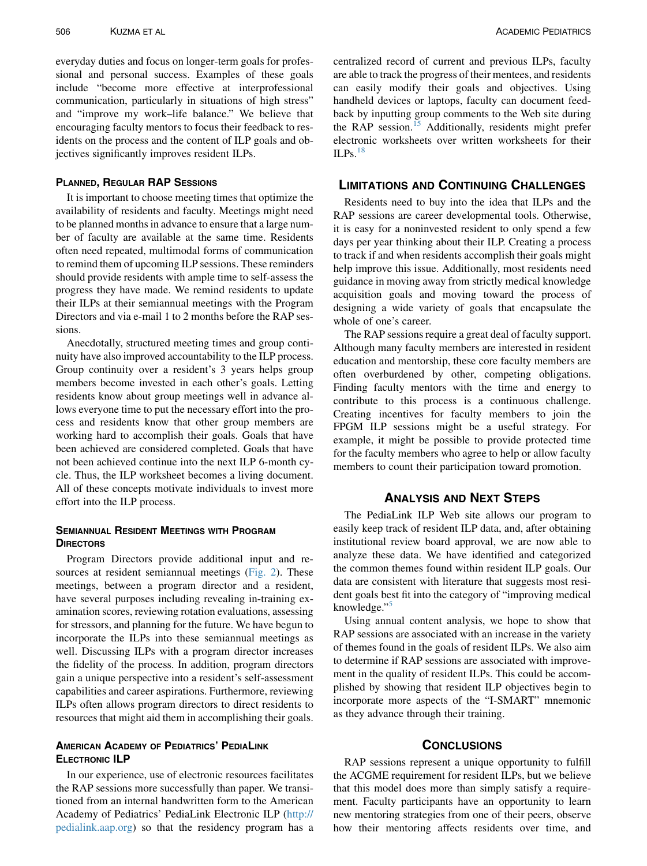everyday duties and focus on longer-term goals for professional and personal success. Examples of these goals include "become more effective at interprofessional communication, particularly in situations of high stress" and "improve my work–life balance." We believe that encouraging faculty mentors to focus their feedback to residents on the process and the content of ILP goals and objectives significantly improves resident ILPs.

It is important to choose meeting times that optimize the availability of residents and faculty. Meetings might need to be planned months in advance to ensure that a large number of faculty are available at the same time. Residents often need repeated, multimodal forms of communication to remind them of upcoming ILP sessions. These reminders should provide residents with ample time to self-assess the progress they have made. We remind residents to update their ILPs at their semiannual meetings with the Program Directors and via e-mail 1 to 2 months before the RAP sessions.

Anecdotally, structured meeting times and group continuity have also improved accountability to the ILP process. Group continuity over a resident's 3 years helps group members become invested in each other's goals. Letting residents know about group meetings well in advance allows everyone time to put the necessary effort into the process and residents know that other group members are working hard to accomplish their goals. Goals that have been achieved are considered completed. Goals that have not been achieved continue into the next ILP 6-month cycle. Thus, the ILP worksheet becomes a living document. All of these concepts motivate individuals to invest more effort into the ILP process.

## Semiannual Resident Meetings with Program<br>Directors

Program Directors provide additional input and re-sources at resident semiannual meetings ([Fig. 2\)](#page-2-0). These meetings, between a program director and a resident, have several purposes including revealing in-training examination scores, reviewing rotation evaluations, assessing for stressors, and planning for the future. We have begun to incorporate the ILPs into these semiannual meetings as well. Discussing ILPs with a program director increases the fidelity of the process. In addition, program directors gain a unique perspective into a resident's self-assessment capabilities and career aspirations. Furthermore, reviewing ILPs often allows program directors to direct residents to resources that might aid them in accomplishing their goals.

## AMERICAN ACADEMY OF PEDIATRICS' PEDIALINK

In our experience, use of electronic resources facilitates the RAP sessions more successfully than paper. We transitioned from an internal handwritten form to the American Academy of Pediatrics' PediaLink Electronic ILP ([http://](http://pedialink.aap.org) [pedialink.aap.org\)](http://pedialink.aap.org) so that the residency program has a

centralized record of current and previous ILPs, faculty are able to track the progress of their mentees, and residents can easily modify their goals and objectives. Using handheld devices or laptops, faculty can document feedback by inputting group comments to the Web site during the RAP session.<sup>[15](#page-4-0)</sup> Additionally, residents might prefer electronic worksheets over written worksheets for their  $ILPs.<sup>18</sup>$  $ILPs.<sup>18</sup>$  $ILPs.<sup>18</sup>$ 

Residents need to buy into the idea that ILPs and the RAP sessions are career developmental tools. Otherwise, it is easy for a noninvested resident to only spend a few days per year thinking about their ILP. Creating a process to track if and when residents accomplish their goals might help improve this issue. Additionally, most residents need guidance in moving away from strictly medical knowledge acquisition goals and moving toward the process of designing a wide variety of goals that encapsulate the whole of one's career.

The RAP sessions require a great deal of faculty support. Although many faculty members are interested in resident education and mentorship, these core faculty members are often overburdened by other, competing obligations. Finding faculty mentors with the time and energy to contribute to this process is a continuous challenge. Creating incentives for faculty members to join the FPGM ILP sessions might be a useful strategy. For example, it might be possible to provide protected time for the faculty members who agree to help or allow faculty members to count their participation toward promotion.

### **ANALYSIS AND NEXT STEPS**

The PediaLink ILP Web site allows our program to easily keep track of resident ILP data, and, after obtaining institutional review board approval, we are now able to analyze these data. We have identified and categorized the common themes found within resident ILP goals. Our data are consistent with literature that suggests most resident goals best fit into the category of "improving medical knowledge."

Using annual content analysis, we hope to show that RAP sessions are associated with an increase in the variety of themes found in the goals of resident ILPs. We also aim to determine if RAP sessions are associated with improvement in the quality of resident ILPs. This could be accomplished by showing that resident ILP objectives begin to incorporate more aspects of the "I-SMART" mnemonic as they advance through their training.

RAP sessions represent a unique opportunity to fulfill the ACGME requirement for resident ILPs, but we believe that this model does more than simply satisfy a requirement. Faculty participants have an opportunity to learn new mentoring strategies from one of their peers, observe how their mentoring affects residents over time, and